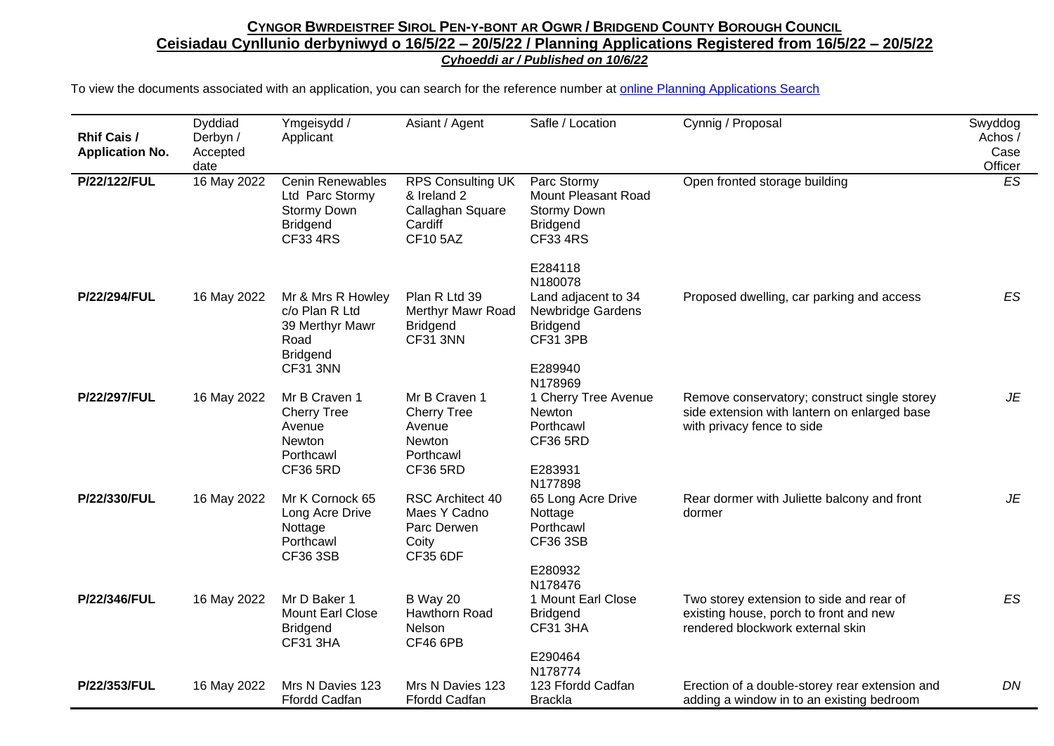| <b>Rhif Cais /</b><br><b>Application No.</b> | Dyddiad<br>Derbyn /<br>Accepted<br>date | Ymgeisydd /<br>Applicant                                                                            | Asiant / Agent                                                                           | Safle / Location                                                                                     | Cynnig / Proposal                                                                                                          | Swyddog<br>Achos /<br>Case<br>Officer |
|----------------------------------------------|-----------------------------------------|-----------------------------------------------------------------------------------------------------|------------------------------------------------------------------------------------------|------------------------------------------------------------------------------------------------------|----------------------------------------------------------------------------------------------------------------------------|---------------------------------------|
| P/22/122/FUL                                 | 16 May 2022                             | <b>Cenin Renewables</b><br>Ltd Parc Stormy<br>Stormy Down<br><b>Bridgend</b><br><b>CF33 4RS</b>     | <b>RPS Consulting UK</b><br>& Ireland 2<br>Callaghan Square<br>Cardiff<br><b>CF105AZ</b> | Parc Stormy<br>Mount Pleasant Road<br>Stormy Down<br><b>Bridgend</b><br><b>CF33 4RS</b>              | Open fronted storage building                                                                                              | ES                                    |
| P/22/294/FUL                                 | 16 May 2022                             | Mr & Mrs R Howley<br>c/o Plan R Ltd<br>39 Merthyr Mawr<br>Road<br><b>Bridgend</b>                   | Plan R Ltd 39<br>Merthyr Mawr Road<br><b>Bridgend</b><br>CF31 3NN                        | E284118<br>N180078<br>Land adjacent to 34<br>Newbridge Gardens<br><b>Bridgend</b><br><b>CF31 3PB</b> | Proposed dwelling, car parking and access                                                                                  | ES                                    |
| P/22/297/FUL                                 | 16 May 2022                             | CF31 3NN<br>Mr B Craven 1<br><b>Cherry Tree</b><br>Avenue<br>Newton<br>Porthcawl<br><b>CF36 5RD</b> | Mr B Craven 1<br><b>Cherry Tree</b><br>Avenue<br>Newton<br>Porthcawl<br><b>CF36 5RD</b>  | E289940<br>N178969<br>1 Cherry Tree Avenue<br>Newton<br>Porthcawl<br><b>CF36 5RD</b><br>E283931      | Remove conservatory; construct single storey<br>side extension with lantern on enlarged base<br>with privacy fence to side | JE                                    |
| P/22/330/FUL                                 | 16 May 2022                             | Mr K Cornock 65<br>Long Acre Drive<br>Nottage<br>Porthcawl<br><b>CF36 3SB</b>                       | RSC Architect 40<br>Maes Y Cadno<br>Parc Derwen<br>Coity<br><b>CF35 6DF</b>              | N177898<br>65 Long Acre Drive<br>Nottage<br>Porthcawl<br><b>CF36 3SB</b><br>E280932                  | Rear dormer with Juliette balcony and front<br>dormer                                                                      | JE                                    |
| P/22/346/FUL                                 | 16 May 2022                             | Mr D Baker 1<br><b>Mount Earl Close</b><br><b>Bridgend</b><br><b>CF31 3HA</b>                       | <b>B</b> Way 20<br>Hawthorn Road<br>Nelson<br>CF46 6PB                                   | N178476<br>1 Mount Earl Close<br><b>Bridgend</b><br><b>CF31 3HA</b><br>E290464<br>N178774            | Two storey extension to side and rear of<br>existing house, porch to front and new<br>rendered blockwork external skin     | ES                                    |
| P/22/353/FUL                                 | 16 May 2022                             | Mrs N Davies 123<br><b>Ffordd Cadfan</b>                                                            | Mrs N Davies 123<br><b>Ffordd Cadfan</b>                                                 | 123 Ffordd Cadfan<br><b>Brackla</b>                                                                  | Erection of a double-storey rear extension and<br>adding a window in to an existing bedroom                                | DN                                    |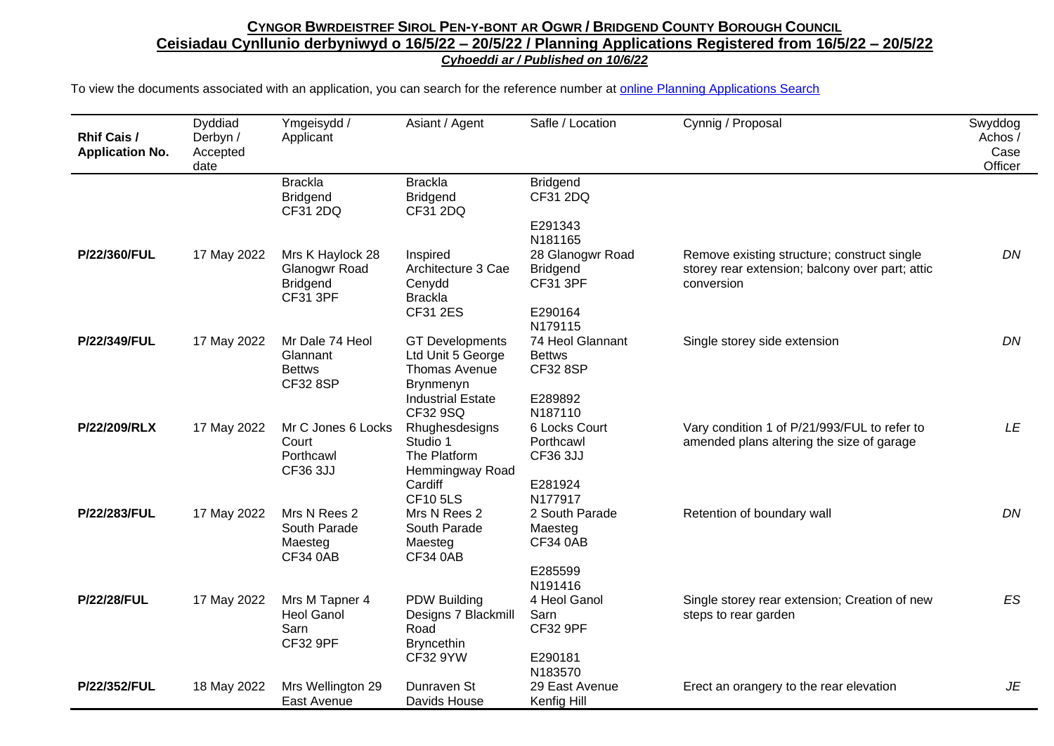| Rhif Cais /<br><b>Application No.</b> | Dyddiad<br>Derbyn /<br>Accepted<br>date | Ymgeisydd /<br>Applicant                                                | Asiant / Agent                                                                             | Safle / Location                                                             | Cynnig / Proposal                                                                                            | Swyddog<br>Achos /<br>Case<br>Officer |
|---------------------------------------|-----------------------------------------|-------------------------------------------------------------------------|--------------------------------------------------------------------------------------------|------------------------------------------------------------------------------|--------------------------------------------------------------------------------------------------------------|---------------------------------------|
|                                       |                                         | <b>Brackla</b><br><b>Bridgend</b><br>CF31 2DQ                           | <b>Brackla</b><br><b>Bridgend</b><br>CF31 2DQ                                              | <b>Bridgend</b><br>CF31 2DQ                                                  |                                                                                                              |                                       |
|                                       |                                         |                                                                         |                                                                                            | E291343<br>N181165                                                           |                                                                                                              |                                       |
| P/22/360/FUL                          | 17 May 2022                             | Mrs K Haylock 28<br>Glanogwr Road<br><b>Bridgend</b><br><b>CF31 3PF</b> | Inspired<br>Architecture 3 Cae<br>Cenydd<br><b>Brackla</b><br><b>CF31 2ES</b>              | 28 Glanogwr Road<br><b>Bridgend</b><br><b>CF31 3PF</b><br>E290164<br>N179115 | Remove existing structure; construct single<br>storey rear extension; balcony over part; attic<br>conversion | DN                                    |
| P/22/349/FUL                          | 17 May 2022                             | Mr Dale 74 Heol<br>Glannant<br><b>Bettws</b><br><b>CF32 8SP</b>         | <b>GT Developments</b><br>Ltd Unit 5 George<br>Thomas Avenue<br>Brynmenyn                  | 74 Heol Glannant<br><b>Bettws</b><br><b>CF32 8SP</b>                         | Single storey side extension                                                                                 | DN                                    |
|                                       |                                         |                                                                         | <b>Industrial Estate</b><br>CF32 9SQ                                                       | E289892<br>N187110                                                           |                                                                                                              |                                       |
| P/22/209/RLX                          | 17 May 2022                             | Mr C Jones 6 Locks<br>Court<br>Porthcawl<br>CF36 3JJ                    | Rhughesdesigns<br>Studio 1<br>The Platform<br>Hemmingway Road                              | 6 Locks Court<br>Porthcawl<br><b>CF36 3JJ</b>                                | Vary condition 1 of P/21/993/FUL to refer to<br>amended plans altering the size of garage                    | LE                                    |
|                                       |                                         |                                                                         | Cardiff<br><b>CF105LS</b>                                                                  | E281924<br>N177917                                                           |                                                                                                              |                                       |
| P/22/283/FUL                          | 17 May 2022                             | Mrs N Rees 2<br>South Parade<br>Maesteg<br><b>CF34 0AB</b>              | Mrs N Rees 2<br>South Parade<br>Maesteg<br><b>CF34 0AB</b>                                 | 2 South Parade<br>Maesteg<br><b>CF34 0AB</b>                                 | Retention of boundary wall                                                                                   | DN                                    |
|                                       |                                         |                                                                         |                                                                                            | E285599<br>N191416                                                           |                                                                                                              |                                       |
| <b>P/22/28/FUL</b>                    | 17 May 2022                             | Mrs M Tapner 4<br><b>Heol Ganol</b><br>Sarn<br><b>CF32 9PF</b>          | <b>PDW Building</b><br>Designs 7 Blackmill<br>Road<br><b>Bryncethin</b><br><b>CF32 9YW</b> | 4 Heol Ganol<br>Sarn<br><b>CF32 9PF</b><br>E290181                           | Single storey rear extension; Creation of new<br>steps to rear garden                                        | ES                                    |
| P/22/352/FUL                          | 18 May 2022                             | Mrs Wellington 29<br>East Avenue                                        | Dunraven St<br>Davids House                                                                | N183570<br>29 East Avenue<br>Kenfig Hill                                     | Erect an orangery to the rear elevation                                                                      | JE                                    |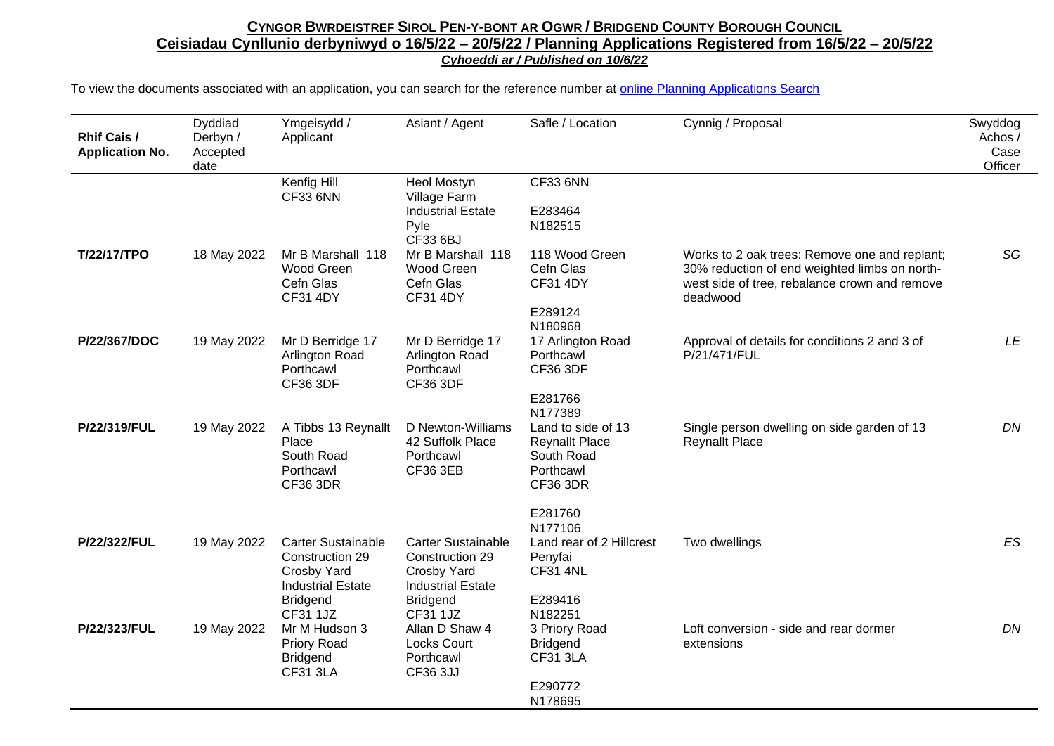| <b>Rhif Cais /</b><br><b>Application No.</b> | Dyddiad<br>Derbyn /<br>Accepted<br>date | Ymgeisydd /<br>Applicant                                                                     | Asiant / Agent                                                                          | Safle / Location                                                                                     | Cynnig / Proposal                                                                                                                                           | Swyddog<br>Achos /<br>Case<br>Officer |
|----------------------------------------------|-----------------------------------------|----------------------------------------------------------------------------------------------|-----------------------------------------------------------------------------------------|------------------------------------------------------------------------------------------------------|-------------------------------------------------------------------------------------------------------------------------------------------------------------|---------------------------------------|
|                                              |                                         | Kenfig Hill<br><b>CF33 6NN</b>                                                               | <b>Heol Mostyn</b><br>Village Farm                                                      | <b>CF33 6NN</b>                                                                                      |                                                                                                                                                             |                                       |
|                                              |                                         |                                                                                              | <b>Industrial Estate</b><br>Pyle<br>CF33 6BJ                                            | E283464<br>N182515                                                                                   |                                                                                                                                                             |                                       |
| T/22/17/TPO                                  | 18 May 2022                             | Mr B Marshall 118<br>Wood Green<br>Cefn Glas<br><b>CF31 4DY</b>                              | Mr B Marshall 118<br>Wood Green<br>Cefn Glas<br><b>CF31 4DY</b>                         | 118 Wood Green<br>Cefn Glas<br><b>CF31 4DY</b><br>E289124                                            | Works to 2 oak trees: Remove one and replant;<br>30% reduction of end weighted limbs on north-<br>west side of tree, rebalance crown and remove<br>deadwood | SG                                    |
|                                              |                                         |                                                                                              |                                                                                         | N180968                                                                                              |                                                                                                                                                             |                                       |
| P/22/367/DOC                                 | 19 May 2022                             | Mr D Berridge 17<br>Arlington Road<br>Porthcawl<br><b>CF36 3DF</b>                           | Mr D Berridge 17<br>Arlington Road<br>Porthcawl<br><b>CF36 3DF</b>                      | 17 Arlington Road<br>Porthcawl<br><b>CF36 3DF</b>                                                    | Approval of details for conditions 2 and 3 of<br>P/21/471/FUL                                                                                               | LE                                    |
|                                              |                                         |                                                                                              |                                                                                         | E281766                                                                                              |                                                                                                                                                             |                                       |
| P/22/319/FUL                                 | 19 May 2022                             | A Tibbs 13 Reynallt<br>Place<br>South Road<br>Porthcawl<br><b>CF36 3DR</b>                   | D Newton-Williams<br>42 Suffolk Place<br>Porthcawl<br><b>CF36 3EB</b>                   | N177389<br>Land to side of 13<br><b>Reynallt Place</b><br>South Road<br>Porthcawl<br><b>CF36 3DR</b> | Single person dwelling on side garden of 13<br><b>Reynallt Place</b>                                                                                        | DN                                    |
|                                              |                                         |                                                                                              |                                                                                         | E281760                                                                                              |                                                                                                                                                             |                                       |
|                                              |                                         |                                                                                              |                                                                                         | N177106                                                                                              |                                                                                                                                                             |                                       |
| P/22/322/FUL                                 | 19 May 2022                             | <b>Carter Sustainable</b><br>Construction 29<br>Crosby Yard<br><b>Industrial Estate</b>      | <b>Carter Sustainable</b><br>Construction 29<br>Crosby Yard<br><b>Industrial Estate</b> | Land rear of 2 Hillcrest<br>Penyfai<br><b>CF31 4NL</b>                                               | Two dwellings                                                                                                                                               | ES                                    |
|                                              |                                         | <b>Bridgend</b>                                                                              | <b>Bridgend</b>                                                                         | E289416                                                                                              |                                                                                                                                                             |                                       |
| P/22/323/FUL                                 | 19 May 2022                             | <b>CF31 1JZ</b><br>Mr M Hudson 3<br><b>Priory Road</b><br><b>Bridgend</b><br><b>CF31 3LA</b> | <b>CF31 1JZ</b><br>Allan D Shaw 4<br><b>Locks Court</b><br>Porthcawl<br>CF36 3JJ        | N182251<br>3 Priory Road<br><b>Bridgend</b><br><b>CF31 3LA</b><br>E290772<br>N178695                 | Loft conversion - side and rear dormer<br>extensions                                                                                                        | DN                                    |